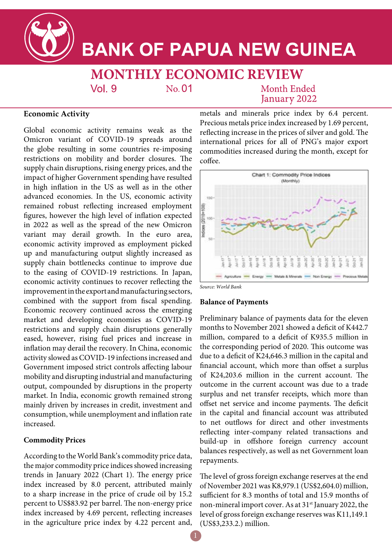

# **BANK OF PAPUA NEW GUINEA**

**MONTHLY ECONOMIC REVIEW**  $Vol<sub>9</sub>$  $No. 01$ Month Ended

January 2022

# **Economic Activity**

Global economic activity remains weak as the Omicron variant of COVID-19 spreads around the globe resulting in some countries re-imposing restrictions on mobility and border closures. The supply chain disruptions, rising energy prices, and the impact of higher Government spending have resulted in high inflation in the US as well as in the other advanced economies. In the US, economic activity remained robust reflecting increased employment figures, however the high level of inflation expected in 2022 as well as the spread of the new Omicron variant may derail growth. In the euro area, economic activity improved as employment picked up and manufacturing output slightly increased as supply chain bottlenecks continue to improve due to the easing of COVID-19 restrictions. In Japan, economic activity continues to recover reflecting the improvement in the export and manufacturing sectors, combined with the support from fiscal spending. Economic recovery continued across the emerging market and developing economies as COVID-19 restrictions and supply chain disruptions generally eased, however, rising fuel prices and increase in inflation may derail the recovery. In China, economic activity slowed as COVID-19 infections increased and Government imposed strict controls affecting labour mobility and disrupting industrial and manufacturing output, compounded by disruptions in the property market. In India, economic growth remained strong mainly driven by increases in credit, investment and consumption, while unemployment and inflation rate increased.

## **Commodity Prices**

According to the World Bank's commodity price data, the major commodity price indices showed increasing trends in January 2022 (Chart 1). The energy price index increased by 8.0 percent, attributed mainly to a sharp increase in the price of crude oil by 15.2 percent to US\$83.92 per barrel. The non-energy price index increased by 4.69 percent, reflecting increases in the agriculture price index by 4.22 percent and, metals and minerals price index by 6.4 percent. Precious metals price index increased by 1.69 percent, reflecting increase in the prices of silver and gold. The international prices for all of PNG's major export commodities increased during the month, except for coffee.



#### *Source: World Bank*

#### **Balance of Payments**

Preliminary balance of payments data for the eleven months to November 2021 showed a deficit of K442.7 million, compared to a deficit of K935.5 million in the corresponding period of 2020. This outcome was due to a deficit of K24,646.3 million in the capital and financial account, which more than offset a surplus of K24,203.6 million in the current account. The outcome in the current account was due to a trade surplus and net transfer receipts, which more than offset net service and income payments. The deficit in the capital and financial account was attributed to net outflows for direct and other investments reflecting inter-company related transactions and build-up in offshore foreign currency account balances respectively, as well as net Government loan repayments.

The level of gross foreign exchange reserves at the end of November 2021 was K8,979.1 (US\$2,604.0) million, sufficient for 8.3 months of total and 15.9 months of non-mineral import cover. As at 31<sup>st</sup> January 2022, the level of gross foreign exchange reserves was K11,149.1 (US\$3,233.2.) million.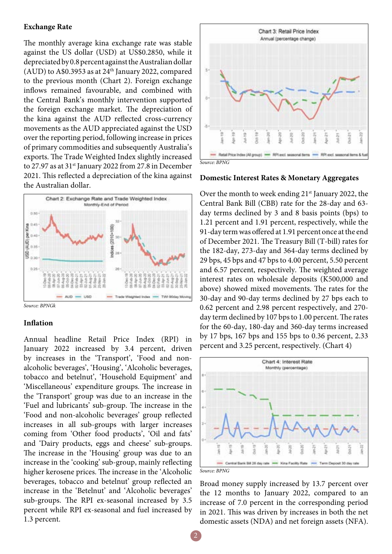#### **Exchange Rate**

The monthly average kina exchange rate was stable against the US dollar (USD) at US\$0.2850, while it depreciated by 0.8 percent against the Australian dollar (AUD) to A\$0.3953 as at 24<sup>th</sup> January 2022, compared to the previous month (Chart 2). Foreign exchange inflows remained favourable, and combined with the Central Bank's monthly intervention supported the foreign exchange market. The depreciation of the kina against the AUD reflected cross-currency movements as the AUD appreciated against the USD over the reporting period, following increase in prices of primary commodities and subsequently Australia's exports. The Trade Weighted Index slightly increased to 27.97 as at 31<sup>st</sup> January 2022 from 27.8 in December 2021. This reflected a depreciation of the kina against the Australian dollar.



*Source: BPNGk*

#### **Inflation**

Annual headline Retail Price Index (RPI) in January 2022 increased by 3.4 percent, driven by increases in the 'Transport', 'Food and nonalcoholic beverages', 'Housing', 'Alcoholic beverages, tobacco and betelnut', 'Household Equipment' and 'Miscellaneous' expenditure groups. The increase in the 'Transport' group was due to an increase in the 'Fuel and lubricants' sub-group. The increase in the 'Food and non-alcoholic beverages' group reflected increases in all sub-groups with larger increases coming from 'Other food products', 'Oil and fats' and 'Dairy products, eggs and cheese' sub-groups. The increase in the 'Housing' group was due to an increase in the 'cooking' sub-group, mainly reflecting higher kerosene prices. The increase in the 'Alcoholic beverages, tobacco and betelnut' group reflected an increase in the 'Betelnut' and 'Alcoholic beverages' sub-groups. The RPI ex-seasonal increased by 3.5 percent while RPI ex-seasonal and fuel increased by 1.3 percent.



#### **Domestic Interest Rates & Monetary Aggregates**

Over the month to week ending  $21<sup>st</sup>$  January 2022, the Central Bank Bill (CBB) rate for the 28-day and 63 day terms declined by 3 and 8 basis points (bps) to 1.21 percent and 1.91 percent, respectively, while the 91-day term was offered at 1.91 percent once at the end of December 2021. The Treasury Bill (T-bill) rates for the 182-day, 273-day and 364-day terms declined by 29 bps, 45 bps and 47 bps to 4.00 percent, 5.50 percent and 6.57 percent, respectively. The weighted average interest rates on wholesale deposits (K500,000 and above) showed mixed movements. The rates for the 30-day and 90-day terms declined by 27 bps each to 0.62 percent and 2.98 percent respectively, and 270 day term declined by 107 bps to 1.00 percent. The rates for the 60-day, 180-day and 360-day terms increased by 17 bps, 167 bps and 155 bps to 0.36 percent, 2.33 percent and 3.25 percent, respectively. (Chart 4)



Broad money supply increased by 13.7 percent over the 12 months to January 2022, compared to an increase of 7.0 percent in the corresponding period in 2021. This was driven by increases in both the net domestic assets (NDA) and net foreign assets (NFA).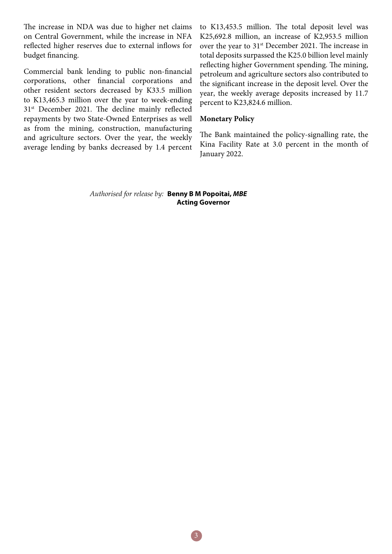The increase in NDA was due to higher net claims on Central Government, while the increase in NFA reflected higher reserves due to external inflows for budget financing.

Commercial bank lending to public non-financial corporations, other financial corporations and other resident sectors decreased by K33.5 million to K13,465.3 million over the year to week-ending 31<sup>st</sup> December 2021. The decline mainly reflected repayments by two State-Owned Enterprises as well as from the mining, construction, manufacturing and agriculture sectors. Over the year, the weekly average lending by banks decreased by 1.4 percent to K13,453.5 million. The total deposit level was K25,692.8 million, an increase of K2,953.5 million over the year to  $31<sup>st</sup>$  December 2021. The increase in total deposits surpassed the K25.0 billion level mainly reflecting higher Government spending. The mining, petroleum and agriculture sectors also contributed to the significant increase in the deposit level. Over the year, the weekly average deposits increased by 11.7 percent to K23,824.6 million.

### **Monetary Policy**

The Bank maintained the policy-signalling rate, the Kina Facility Rate at 3.0 percent in the month of January 2022.

*Authorised for release by:* **Benny B M Popoitai,** *MBE*  **Acting Governor**

3